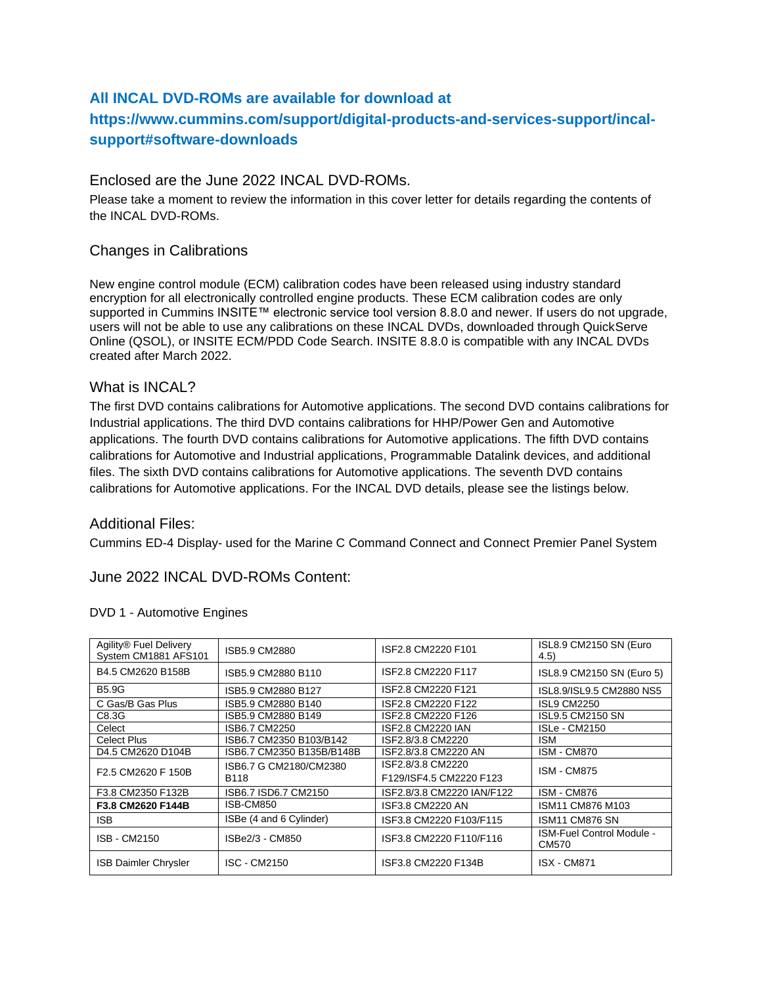## **All INCAL DVD-ROMs are available for download at**

# **https://www.cummins.com/support/digital-products-and-services-support/incalsupport#software-downloads**

### Enclosed are the June 2022 INCAL DVD-ROMs.

Please take a moment to review the information in this cover letter for details regarding the contents of the INCAL DVD-ROMs.

### Changes in Calibrations

New engine control module (ECM) calibration codes have been released using industry standard encryption for all electronically controlled engine products. These ECM calibration codes are only supported in Cummins INSITE™ electronic service tool version 8.8.0 and newer. If users do not upgrade, users will not be able to use any calibrations on these INCAL DVDs, downloaded through QuickServe Online (QSOL), or INSITE ECM/PDD Code Search. INSITE 8.8.0 is compatible with any INCAL DVDs created after March 2022.

### What is INCAL?

The first DVD contains calibrations for Automotive applications. The second DVD contains calibrations for Industrial applications. The third DVD contains calibrations for HHP/Power Gen and Automotive applications. The fourth DVD contains calibrations for Automotive applications. The fifth DVD contains calibrations for Automotive and Industrial applications, Programmable Datalink devices, and additional files. The sixth DVD contains calibrations for Automotive applications. The seventh DVD contains calibrations for Automotive applications. For the INCAL DVD details, please see the listings below.

### Additional Files:

Cummins ED-4 Display- used for the Marine C Command Connect and Connect Premier Panel System

### June 2022 INCAL DVD-ROMs Content:

| Agility® Fuel Delivery<br>System CM1881 AFS101 | ISB5.9 CM2880             | ISF2.8 CM2220 F101         | ISL8.9 CM2150 SN (Euro<br>(4.5)           |
|------------------------------------------------|---------------------------|----------------------------|-------------------------------------------|
| B4.5 CM2620 B158B                              | ISB5.9 CM2880 B110        | ISF2.8 CM2220 F117         | ISL8.9 CM2150 SN (Euro 5)                 |
| <b>B5.9G</b>                                   | ISB5.9 CM2880 B127        | ISF2.8 CM2220 F121         | ISL8.9/ISL9.5 CM2880 NS5                  |
| C Gas/B Gas Plus                               | ISB5.9 CM2880 B140        | ISF2.8 CM2220 F122         | <b>ISL9 CM2250</b>                        |
| C8.3G                                          | ISB5.9 CM2880 B149        | ISF2.8 CM2220 F126         | ISL9.5 CM2150 SN                          |
| Celect                                         | ISB6.7 CM2250             | <b>ISF2.8 CM2220 IAN</b>   | <b>ISLe - CM2150</b>                      |
| <b>Celect Plus</b>                             | ISB6.7 CM2350 B103/B142   | ISF2.8/3.8 CM2220          | <b>ISM</b>                                |
| D4.5 CM2620 D104B                              | ISB6.7 CM2350 B135B/B148B | ISF2.8/3.8 CM2220 AN       | <b>ISM - CM870</b>                        |
|                                                | ISB6.7 G CM2180/CM2380    | ISF2.8/3.8 CM2220          | <b>ISM - CM875</b>                        |
| F2.5 CM2620 F 150B                             | B118                      | F129/ISF4.5 CM2220 F123    |                                           |
| F3.8 CM2350 F132B                              | ISB6.7 ISD6.7 CM2150      | ISF2.8/3.8 CM2220 IAN/F122 | <b>ISM - CM876</b>                        |
| F3.8 CM2620 F144B                              | ISB-CM850                 | ISF3.8 CM2220 AN           | ISM11 CM876 M103                          |
| <b>ISB</b>                                     | ISBe (4 and 6 Cylinder)   | ISF3.8 CM2220 F103/F115    | ISM11 CM876 SN                            |
| <b>ISB - CM2150</b>                            | ISBe2/3 - CM850           | ISF3.8 CM2220 F110/F116    | <b>ISM-Fuel Control Module -</b><br>CM570 |
| ISB Daimler Chrysler                           | ISC - CM2150              | ISF3.8 CM2220 F134B        | <b>ISX - CM871</b>                        |

#### DVD 1 - Automotive Engines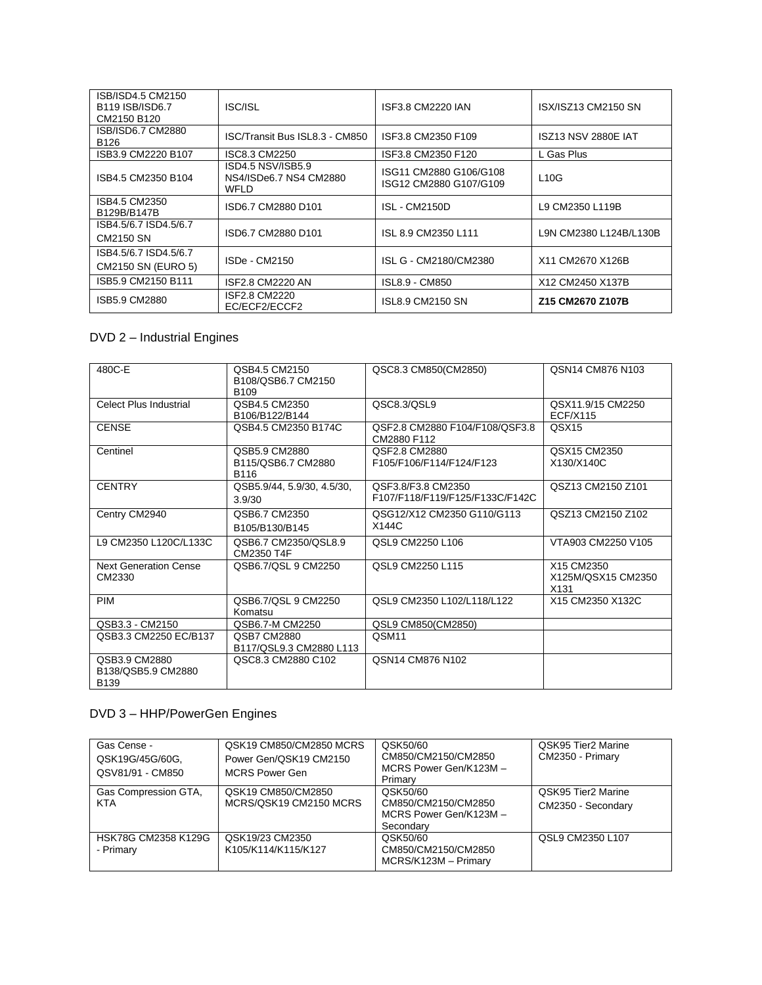| ISB/ISD4.5 CM2150<br>B <sub>119</sub> ISB/ISD6.7<br>CM2150 B120 | ISC/ISL                                                    | ISF3.8 CM2220 IAN                                | ISX/ISZ13 CM2150 SN        |
|-----------------------------------------------------------------|------------------------------------------------------------|--------------------------------------------------|----------------------------|
| ISB/ISD6.7 CM2880<br>B <sub>126</sub>                           | ISC/Transit Bus ISL8.3 - CM850                             | ISF3.8 CM2350 F109                               | <b>ISZ13 NSV 2880E IAT</b> |
| ISB3.9 CM2220 B107                                              | ISC8.3 CM2250                                              | ISF3.8 CM2350 F120                               | L Gas Plus                 |
| ISB4.5 CM2350 B104                                              | ISD4.5 NSV/ISB5.9<br>NS4/ISDe6.7 NS4 CM2880<br><b>WFLD</b> | ISG11 CM2880 G106/G108<br>ISG12 CM2880 G107/G109 | L10G                       |
| ISB4.5 CM2350<br>B129B/B147B                                    | ISD6.7 CM2880 D101                                         | <b>ISL - CM2150D</b>                             | L9 CM2350 L119B            |
| ISB4.5/6.7 ISD4.5/6.7<br>CM2150 SN                              | ISD6.7 CM2880 D101                                         | ISL 8.9 CM2350 L111                              | L9N CM2380 L124B/L130B     |
| ISB4.5/6.7 ISD4.5/6.7                                           | ISDe - CM2150                                              | ISL G - CM2180/CM2380                            | X11 CM2670 X126B           |
| CM2150 SN (EURO 5)                                              |                                                            |                                                  |                            |
| ISB5.9 CM2150 B111                                              | ISF2.8 CM2220 AN                                           | ISL8.9 - CM850                                   | X12 CM2450 X137B           |
| ISB5.9 CM2880                                                   | ISF2.8 CM2220<br>EC/ECF2/ECCF2                             | ISL8.9 CM2150 SN                                 | Z15 CM2670 Z107B           |

## DVD 2 – Industrial Engines

| 480C-E                                             | QSB4.5 CM2150<br>B108/QSB6.7 CM2150<br>B <sub>109</sub> | QSC8.3 CM850(CM2850)                                  | QSN14 CM876 N103                                     |
|----------------------------------------------------|---------------------------------------------------------|-------------------------------------------------------|------------------------------------------------------|
| Celect Plus Industrial                             | QSB4.5 CM2350<br>B106/B122/B144                         | QSC8.3/QSL9                                           | QSX11.9/15 CM2250<br><b>ECF/X115</b>                 |
| <b>CENSE</b>                                       | QSB4.5 CM2350 B174C                                     | QSF2.8 CM2880 F104/F108/QSF3.8<br>CM2880 F112         | QSX <sub>15</sub>                                    |
| Centinel                                           | QSB5.9 CM2880<br>B115/QSB6.7 CM2880<br>B116             | QSF2.8 CM2880<br>F105/F106/F114/F124/F123             | QSX15 CM2350<br>X130/X140C                           |
| <b>CENTRY</b>                                      | QSB5.9/44, 5.9/30, 4.5/30,<br>3.9/30                    | QSF3.8/F3.8 CM2350<br>F107/F118/F119/F125/F133C/F142C | QSZ13 CM2150 Z101                                    |
| Centry CM2940                                      | QSB6.7 CM2350<br>B105/B130/B145                         | QSG12/X12 CM2350 G110/G113<br>X144C                   | QSZ13 CM2150 Z102                                    |
| L9 CM2350 L120C/L133C                              | QSB6.7 CM2350/QSL8.9<br>CM2350 T4F                      | QSL9 CM2250 L106                                      | VTA903 CM2250 V105                                   |
| <b>Next Generation Cense</b><br>CM2330             | QSB6.7/QSL 9 CM2250                                     | QSL9 CM2250 L115                                      | X15 CM2350<br>X125M/QSX15 CM2350<br>X <sub>131</sub> |
| <b>PIM</b>                                         | QSB6.7/QSL 9 CM2250<br>Komatsu                          | QSL9 CM2350 L102/L118/L122                            | X15 CM2350 X132C                                     |
| QSB3.3 - CM2150                                    | QSB6.7-M CM2250                                         | QSL9 CM850(CM2850)                                    |                                                      |
| QSB3.3 CM2250 EC/B137                              | QSB7 CM2880<br>B117/QSL9.3 CM2880 L113                  | QSM11                                                 |                                                      |
| QSB3.9 CM2880<br>B138/QSB5.9 CM2880<br><b>B139</b> | QSC8.3 CM2880 C102                                      | QSN14 CM876 N102                                      |                                                      |

# DVD 3 – HHP/PowerGen Engines

| Gas Cense -<br>QSK19G/45G/60G,<br>QSV81/91 - CM850 | QSK19 CM850/CM2850 MCRS<br>Power Gen/QSK19 CM2150<br><b>MCRS Power Gen</b> | QSK50/60<br>CM850/CM2150/CM2850<br>MCRS Power Gen/K123M -<br>Primary   | QSK95 Tier2 Marine<br>CM2350 - Primary   |
|----------------------------------------------------|----------------------------------------------------------------------------|------------------------------------------------------------------------|------------------------------------------|
| Gas Compression GTA,<br><b>KTA</b>                 | QSK19 CM850/CM2850<br>MCRS/QSK19 CM2150 MCRS                               | QSK50/60<br>CM850/CM2150/CM2850<br>MCRS Power Gen/K123M -<br>Secondary | QSK95 Tier2 Marine<br>CM2350 - Secondary |
| HSK78G CM2358 K129G<br>- Primary                   | QSK19/23 CM2350<br>K105/K114/K115/K127                                     | QSK50/60<br>CM850/CM2150/CM2850<br>MCRS/K123M - Primary                | QSL9 CM2350 L107                         |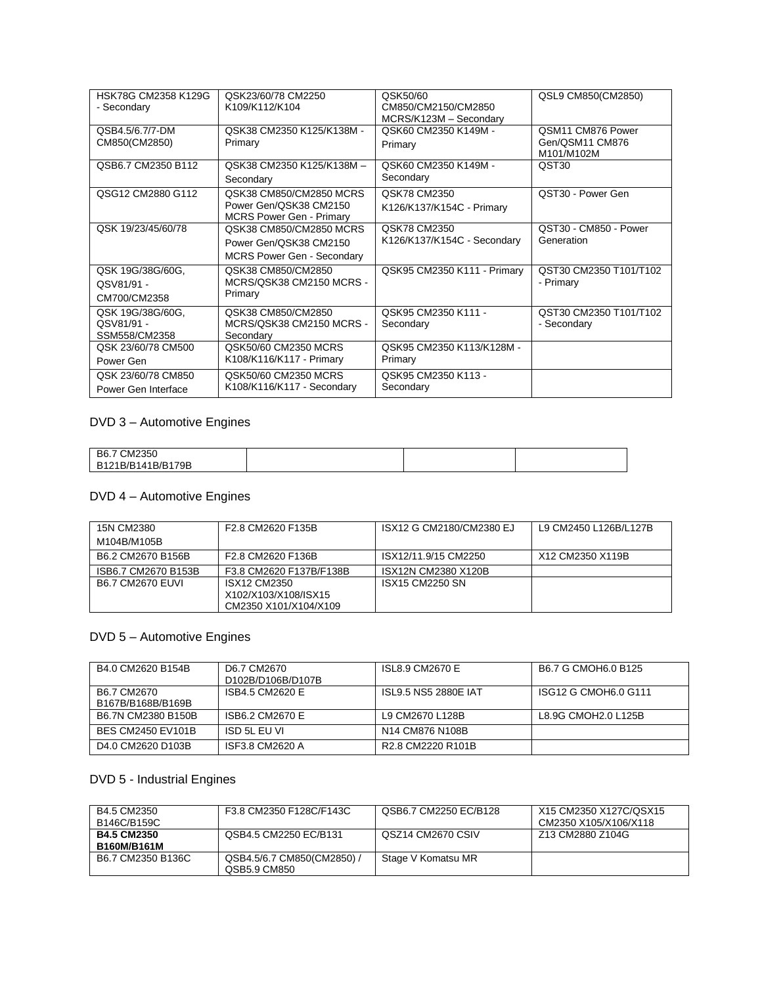| HSK78G CM2358 K129G<br>- Secondary              | QSK23/60/78 CM2250<br>K109/K112/K104                                                   | QSK50/60<br>CM850/CM2150/CM2850<br>MCRS/K123M - Secondary | QSL9 CM850(CM2850)                                 |
|-------------------------------------------------|----------------------------------------------------------------------------------------|-----------------------------------------------------------|----------------------------------------------------|
| QSB4.5/6.7/7-DM<br>CM850(CM2850)                | QSK38 CM2350 K125/K138M -<br>Primary                                                   | QSK60 CM2350 K149M -<br>Primary                           | QSM11 CM876 Power<br>Gen/QSM11 CM876<br>M101/M102M |
| QSB6.7 CM2350 B112                              | QSK38 CM2350 K125/K138M -<br>Secondary                                                 | QSK60 CM2350 K149M -<br>Secondary                         | QST30                                              |
| QSG12 CM2880 G112                               | QSK38 CM850/CM2850 MCRS<br>Power Gen/QSK38 CM2150<br><b>MCRS Power Gen - Primary</b>   | QSK78 CM2350<br>K126/K137/K154C - Primary                 | QST30 - Power Gen                                  |
| QSK 19/23/45/60/78                              | QSK38 CM850/CM2850 MCRS<br>Power Gen/QSK38 CM2150<br><b>MCRS Power Gen - Secondary</b> | QSK78 CM2350<br>K126/K137/K154C - Secondary               | QST30 - CM850 - Power<br>Generation                |
| QSK 19G/38G/60G,<br>QSV81/91 -<br>CM700/CM2358  | QSK38 CM850/CM2850<br>MCRS/QSK38 CM2150 MCRS -<br>Primary                              | QSK95 CM2350 K111 - Primary                               | QST30 CM2350 T101/T102<br>- Primary                |
| QSK 19G/38G/60G,<br>QSV81/91 -<br>SSM558/CM2358 | QSK38 CM850/CM2850<br>MCRS/QSK38 CM2150 MCRS -<br>Secondary                            | QSK95 CM2350 K111 -<br>Secondary                          | QST30 CM2350 T101/T102<br>- Secondary              |
| QSK 23/60/78 CM500<br>Power Gen                 | QSK50/60 CM2350 MCRS<br>K108/K116/K117 - Primary                                       | QSK95 CM2350 K113/K128M -<br>Primary                      |                                                    |
| QSK 23/60/78 CM850<br>Power Gen Interface       | QSK50/60 CM2350 MCRS<br>K108/K116/K117 - Secondary                                     | QSK95 CM2350 K113 -<br>Secondary                          |                                                    |

## DVD 3 – Automotive Engines

| B6.7 CM2350       |  |  |
|-------------------|--|--|
| B121B/B141B/B179B |  |  |

## DVD 4 – Automotive Engines

| 15N CM2380              | F2.8 CM2620 F135B                                             | ISX12 G CM2180/CM2380 EJ | L9 CM2450 L126B/L127B |
|-------------------------|---------------------------------------------------------------|--------------------------|-----------------------|
| M104B/M105B             |                                                               |                          |                       |
| B6.2 CM2670 B156B       | F2.8 CM2620 F136B                                             | ISX12/11.9/15 CM2250     | X12 CM2350 X119B      |
| ISB6.7 CM2670 B153B     | F3.8 CM2620 F137B/F138B                                       | ISX12N CM2380 X120B      |                       |
| <b>B6.7 CM2670 FUVL</b> | ISX12 CM2350<br>X102/X103/X108/ISX15<br>CM2350 X101/X104/X109 | <b>ISX15 CM2250 SN</b>   |                       |

## DVD 5 – Automotive Engines

| B4.0 CM2620 B154B                | D6.7 CM2670<br>D102B/D106B/D107B | ISL8.9 CM2670 E                                        | B6.7 G CMOH6.0 B125  |
|----------------------------------|----------------------------------|--------------------------------------------------------|----------------------|
| B6.7 CM2670<br>B167B/B168B/B169B | ISB4.5 CM2620 E                  | ISL9.5 NS5 2880E IAT                                   | ISG12 G CMOH6.0 G111 |
| B6.7N CM2380 B150B               | ISB6.2 CM2670 E                  | L9 CM2670 L128B                                        | L8.9G CMOH2.0 L125B  |
| BES CM2450 EV101B                | ISD 5L EU VI                     | N <sub>14</sub> CM <sub>876</sub> N <sub>108</sub> B   |                      |
| D4.0 CM2620 D103B                | ISF3.8 CM2620 A                  | R <sub>2.8</sub> CM <sub>2220</sub> R <sub>101</sub> B |                      |

## DVD 5 - Industrial Engines

| B4.5 CM2350        | F3.8 CM2350 F128C/F143C  | QSB6.7 CM2250 EC/B128 | X15 CM2350 X127C/QSX15 |
|--------------------|--------------------------|-----------------------|------------------------|
| B146C/B159C        |                          |                       | CM2350 X105/X106/X118  |
| <b>B4.5 CM2350</b> | QSB4.5 CM2250 EC/B131    | QSZ14 CM2670 CSIV     | Z13 CM2880 Z104G       |
| <b>B160M/B161M</b> |                          |                       |                        |
| B6.7 CM2350 B136C  | QSB4.5/6.7 CM850(CM2850) | Stage V Komatsu MR    |                        |
|                    | QSB5.9 CM850             |                       |                        |